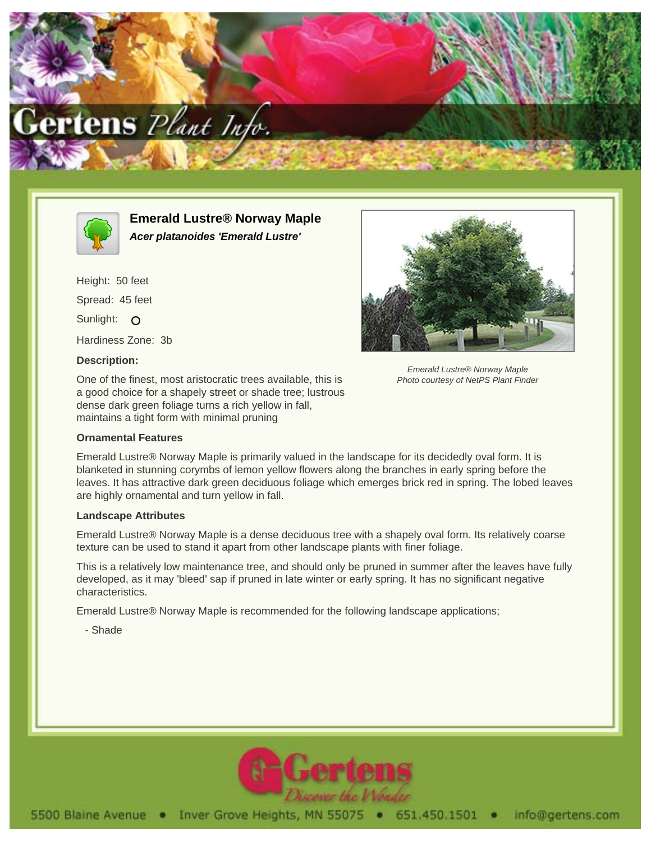



**Emerald Lustre® Norway Maple Acer platanoides 'Emerald Lustre'**

Height: 50 feet Spread: 45 feet Sunlight: O Hardiness Zone: 3b **Description:**

One of the finest, most aristocratic trees available, this is a good choice for a shapely street or shade tree; lustrous dense dark green foliage turns a rich yellow in fall, maintains a tight form with minimal pruning

## **Ornamental Features**



Emerald Lustre® Norway Maple Photo courtesy of NetPS Plant Finder

Emerald Lustre® Norway Maple is primarily valued in the landscape for its decidedly oval form. It is blanketed in stunning corymbs of lemon yellow flowers along the branches in early spring before the leaves. It has attractive dark green deciduous foliage which emerges brick red in spring. The lobed leaves are highly ornamental and turn yellow in fall.

## **Landscape Attributes**

Emerald Lustre® Norway Maple is a dense deciduous tree with a shapely oval form. Its relatively coarse texture can be used to stand it apart from other landscape plants with finer foliage.

This is a relatively low maintenance tree, and should only be pruned in summer after the leaves have fully developed, as it may 'bleed' sap if pruned in late winter or early spring. It has no significant negative characteristics.

Emerald Lustre® Norway Maple is recommended for the following landscape applications;

- Shade